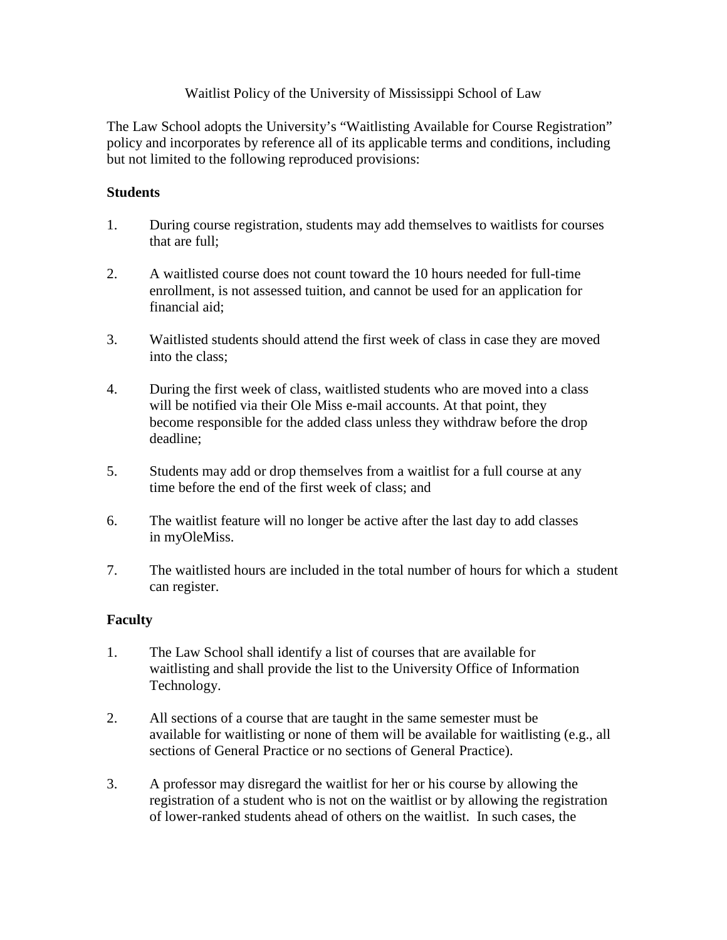## Waitlist Policy of the University of Mississippi School of Law

The Law School adopts the University's "Waitlisting Available for Course Registration" policy and incorporates by reference all of its applicable terms and conditions, including but not limited to the following reproduced provisions:

## **Students**

- 1. During course registration, students may add themselves to waitlists for courses that are full;
- 2. A waitlisted course does not count toward the 10 hours needed for full-time enrollment, is not assessed tuition, and cannot be used for an application for financial aid;
- 3. Waitlisted students should attend the first week of class in case they are moved into the class;
- 4. During the first week of class, waitlisted students who are moved into a class will be notified via their Ole Miss e-mail accounts. At that point, they become responsible for the added class unless they withdraw before the drop deadline;
- 5. Students may add or drop themselves from a waitlist for a full course at any time before the end of the first week of class; and
- 6. The waitlist feature will no longer be active after the last day to add classes in myOleMiss.
- 7. The waitlisted hours are included in the total number of hours for which a student can register.

## **Faculty**

- 1. The Law School shall identify a list of courses that are available for waitlisting and shall provide the list to the University Office of Information Technology.
- 2. All sections of a course that are taught in the same semester must be available for waitlisting or none of them will be available for waitlisting (e.g., all sections of General Practice or no sections of General Practice).
- 3. A professor may disregard the waitlist for her or his course by allowing the registration of a student who is not on the waitlist or by allowing the registration of lower-ranked students ahead of others on the waitlist. In such cases, the